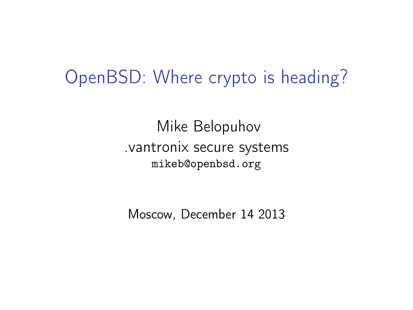### OpenBSD: Where crypto is heading?

Mike Belopuhov .vantronix secure systems mikeb@openbsd.org

Moscow, December 14 2013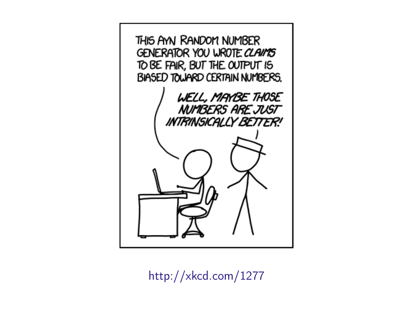

<http://xkcd.com/1277>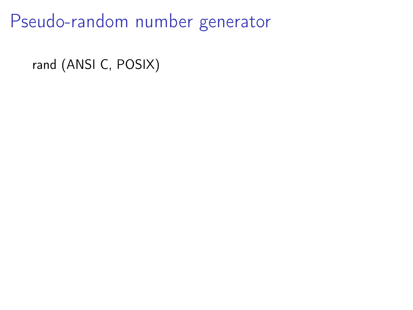rand (ANSI C, POSIX)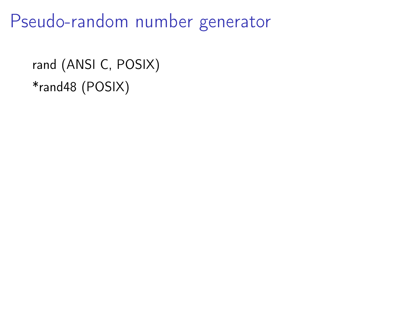```
rand (ANSI C, POSIX)
*rand48 (POSIX)
```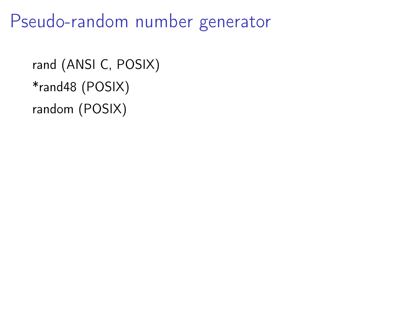```
rand (ANSI C, POSIX)
*rand48 (POSIX)
random (POSIX)
```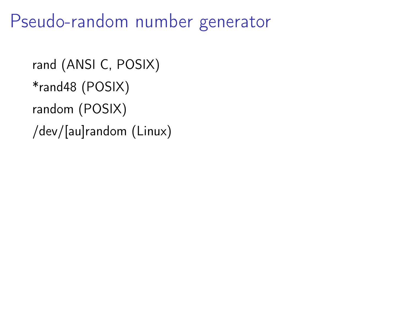```
rand (ANSI C, POSIX)
*rand48 (POSIX)
random (POSIX)
/dev/[au]random (Linux)
```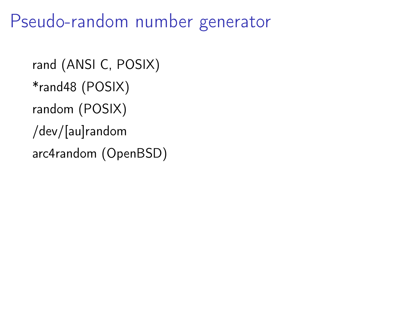```
rand (ANSI C, POSIX)
*rand48 (POSIX)
random (POSIX)
/dev/[au]random
arc4random (OpenBSD)
```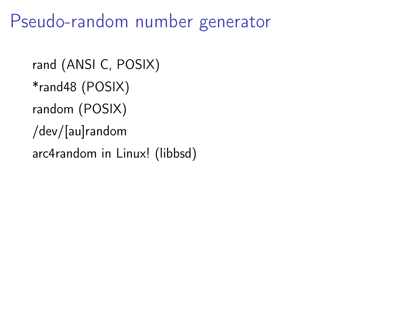```
rand (ANSI C, POSIX)
*rand48 (POSIX)
random (POSIX)
/dev/[au]random
arc4random in Linux! (libbsd)
```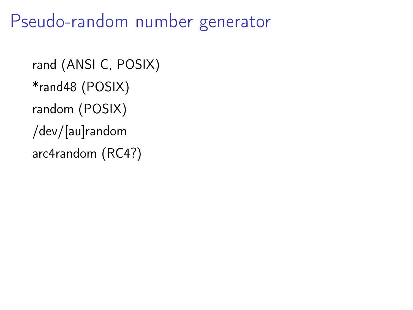```
rand (ANSI C, POSIX)
*rand48 (POSIX)
random (POSIX)
/dev/[au]random
arc4random (RC4?)
```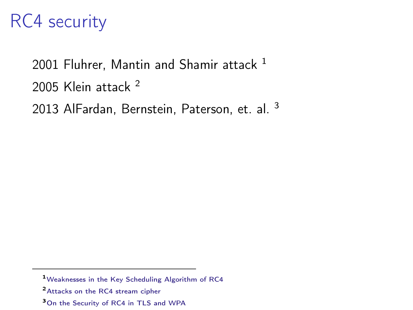#### RC4 security

2001 Fluhrer, Mantin and Shamir attack  $1$ 2005 Klein attack <sup>2</sup> 2013 AlFardan, Bernstein, Paterson, et. al. <sup>3</sup>

- <sup>2</sup>[Attacks on the RC4 stream cipher](http://cage.ugent.be/~klein/RC4/RC4-en.ps)
- <sup>3</sup>[On the Security of RC4 in TLS and WPA](http://www.isg.rhul.ac.uk/tls/RC4biases.pdf)

<sup>1</sup>[Weaknesses in the Key Scheduling Algorithm of RC4](http://www.wisdom.weizmann.ac.il/~itsik/RC4/Papers/Rc4_ksa.ps)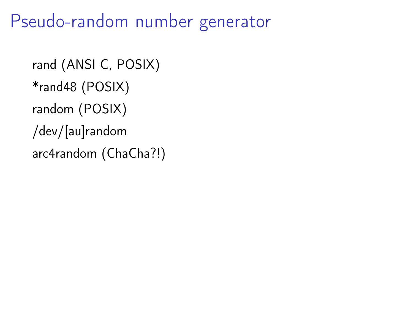```
rand (ANSI C, POSIX)
*rand48 (POSIX)
random (POSIX)
/dev/[au]random
arc4random (ChaCha?!)
```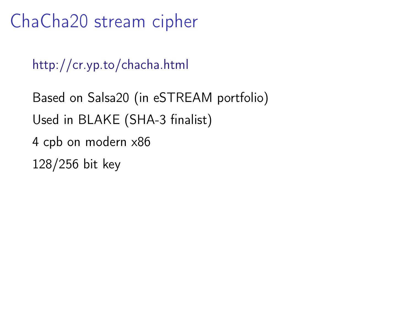ChaCha20 stream cipher

<http://cr.yp.to/chacha.html>

Based on Salsa20 (in eSTREAM portfolio) Used in BLAKE (SHA-3 finalist) 4 cpb on modern x86 128/256 bit key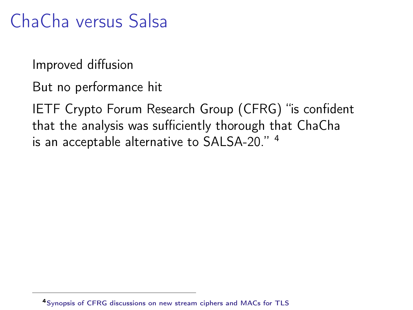# ChaCha versus Salsa

Improved diffusion

But no performance hit

IETF Crypto Forum Research Group (CFRG) "is confident that the analysis was sufficiently thorough that ChaCha is an acceptable alternative to SALSA-20." <sup>4</sup>

<sup>4</sup>[Synopsis of CFRG discussions on new stream ciphers and MACs for TLS](http://www.ietf.org/mail-archive/web/tls/current/msg10221.html)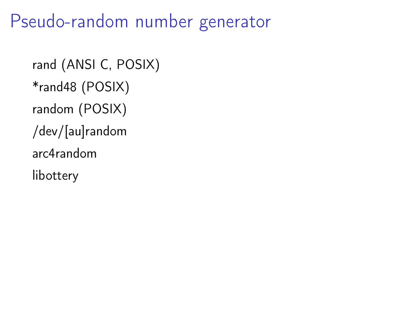rand (ANSI C, POSIX) \*rand48 (POSIX) random (POSIX) /dev/[au]random arc4random libottery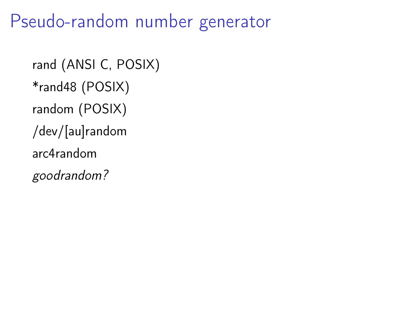rand (ANSI C, POSIX) \*rand48 (POSIX) random (POSIX) /dev/[au]random arc4random goodrandom?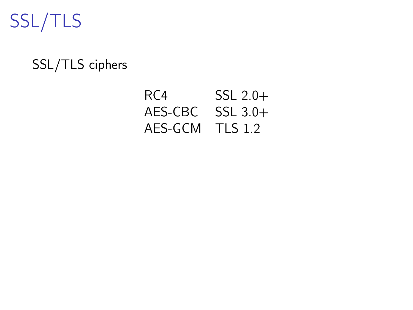

#### SSL/TLS ciphers

#### RC4 SSL 2.0+ AES-CBC SSL 3.0+ AES-GCM TLS 1.2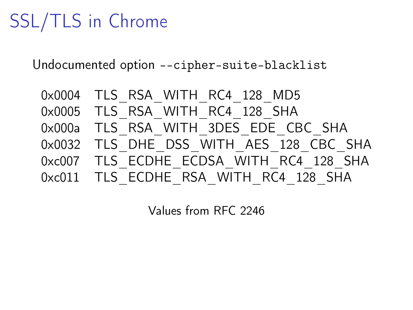# SSL/TLS in Chrome

Undocumented option --cipher-suite-blacklist

| 0x0004 TLS RSA WITH RC4 128 MD5         |
|-----------------------------------------|
| 0x0005 TLS RSA WITH RC4 128 SHA         |
| 0x000a TLS RSA WITH 3DES EDE CBC SHA    |
| 0x0032 TLS DHE DSS WITH AES 128 CBC SHA |
| 0xc007 TLS ECDHE ECDSA WITH RC4 128 SHA |
| 0xc011 TLS ECDHE RSA WITH RC4 128 SHA   |

Values from RFC 2246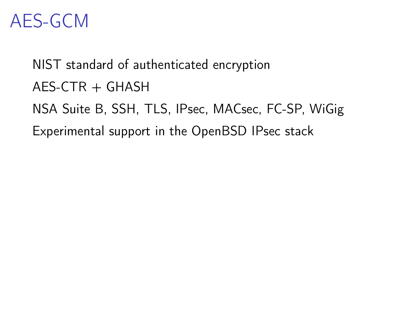### AES-GCM

NIST standard of authenticated encryption  $AES-CTR + GHASH$ NSA Suite B, SSH, TLS, IPsec, MACsec, FC-SP, WiGig Experimental support in the OpenBSD IPsec stack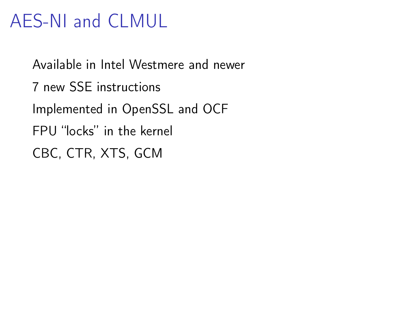# AES-NI and CLMUL

Available in Intel Westmere and newer 7 new SSE instructions Implemented in OpenSSL and OCF FPU "locks" in the kernel CBC, CTR, XTS, GCM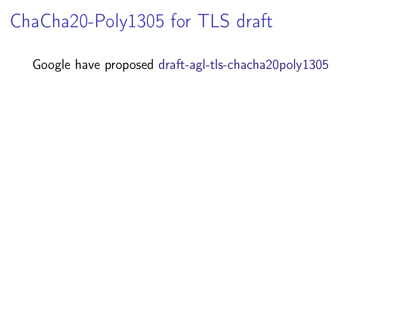## ChaCha20-Poly1305 for TLS draft

Google have proposed [draft-agl-tls-chacha20poly1305](http://tools.ietf.org/html/draft-agl-tls-chacha20poly1305-04)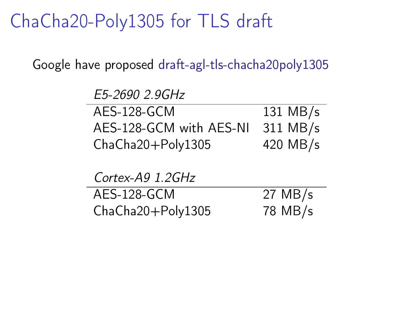## ChaCha20-Poly1305 for TLS draft

Google have proposed [draft-agl-tls-chacha20poly1305](http://tools.ietf.org/html/draft-agl-tls-chacha20poly1305-04)

| E5-2690 2.9GHz          |                   |
|-------------------------|-------------------|
| AES-128-GCM             | 131 MB/s          |
| AES-128-GCM with AES-NI | 311 MB/s          |
| ChaCha20+Poly1305       | 420 MB/s          |
|                         |                   |
| Cortex-A9 1.2GHz        |                   |
| AES-128-GCM             | $27 \text{ MB/s}$ |
| ChaCha20+Poly1305       | 78 MB/s           |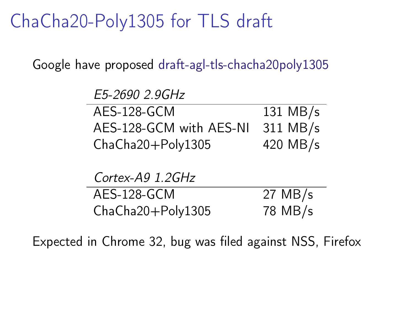ChaCha20-Poly1305 for TLS draft

Google have proposed [draft-agl-tls-chacha20poly1305](http://tools.ietf.org/html/draft-agl-tls-chacha20poly1305-04)

| E5-2690 2.9GHz          |                   |
|-------------------------|-------------------|
| AES-128-GCM             | 131 MB/s          |
| AES-128-GCM with AES-NI | 311 MB/s          |
| ChaCha20+Poly1305       | 420 MB/s          |
|                         |                   |
| Cortex-A9 1.2GHz        |                   |
| AES-128-GCM             | $27 \text{ MB/s}$ |
| ChaCha20+Poly1305       | 78 MB/s           |

Expected in Chrome 32, bug was filed against NSS, Firefox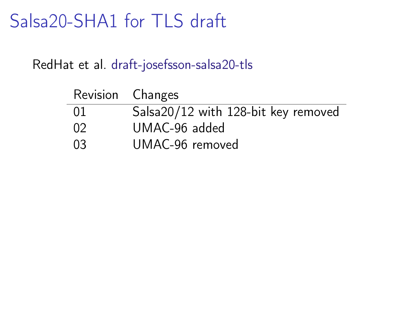## Salsa20-SHA1 for TLS draft

RedHat et al. [draft-josefsson-salsa20-tls](http://tools.ietf.org/html/draft-josefsson-salsa20-tls-04)

| Revision Changes |                                     |
|------------------|-------------------------------------|
| 01               | Salsa20/12 with 128-bit key removed |
| 02               | UMAC-96 added                       |
| 03               | UMAC-96 removed                     |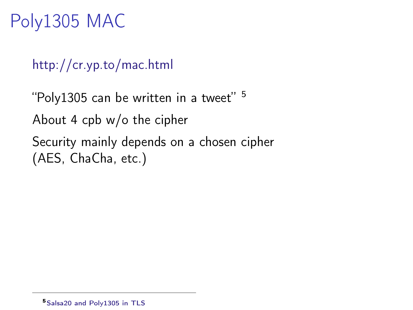# Poly1305 MAC

<http://cr.yp.to/mac.html>

"Poly1305 can be written in a tweet"  $5$ About 4 cpb w/o the cipher Security mainly depends on a chosen cipher (AES, ChaCha, etc.)

<sup>5</sup>[Salsa20 and Poly1305 in TLS](http://www.ietf.org/mail-archive/web/tls/current/msg09707.html)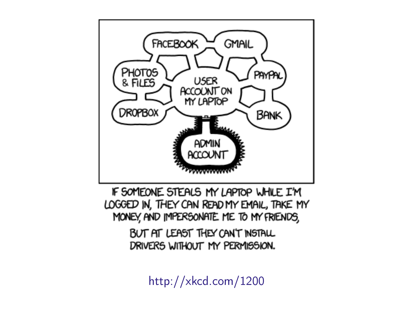

IF SOMEONE STEALS MY LAPTOP WHILE I'M LOGGED IN, THEY CAN READ MY EMAIL, TAKE MY MONEY, AND IMPERSONATE ME TO MY FRIENDS,

> BUT AT LEAST THEY CAN'T INSTALL DRIVERS WITHOUT MY PERMISSION.

> > <http://xkcd.com/1200>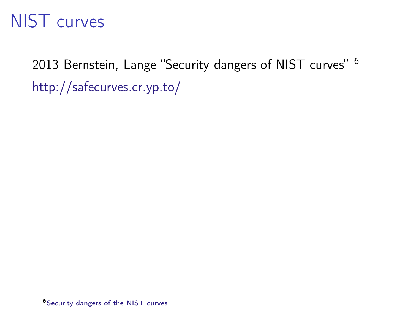### NIST curves

2013 Bernstein, Lange "Security dangers of NIST curves" <sup>6</sup> <http://safecurves.cr.yp.to/>

<sup>6</sup>[Security dangers of the NIST curves](http://cr.yp.to/talks/2013.05.31/slides-dan+tanja-20130531-4x3.pdf)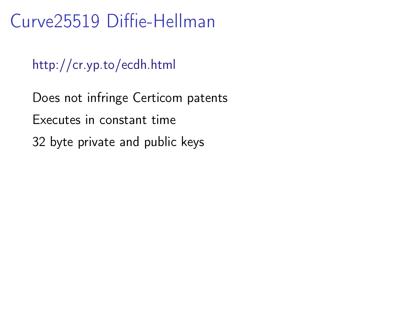## Curve25519 Diffie-Hellman

<http://cr.yp.to/ecdh.html>

Does not infringe Certicom patents Executes in constant time 32 byte private and public keys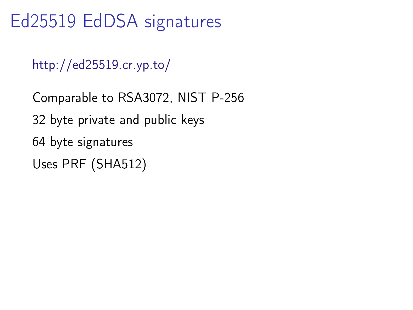Ed25519 EdDSA signatures

<http://ed25519.cr.yp.to/>

Comparable to RSA3072, NIST P-256 32 byte private and public keys 64 byte signatures Uses PRF (SHA512)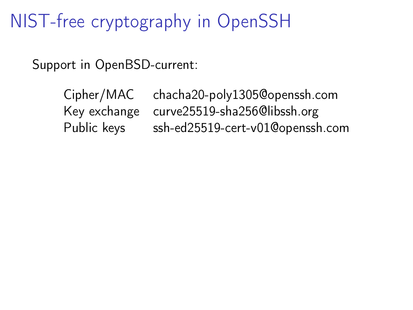NIST-free cryptography in OpenSSH

Support in OpenBSD-current:

Cipher/MAC chacha20-poly1305@openssh.com Key exchange curve25519-sha256@libssh.org Public keys ssh-ed25519-cert-v01@openssh.com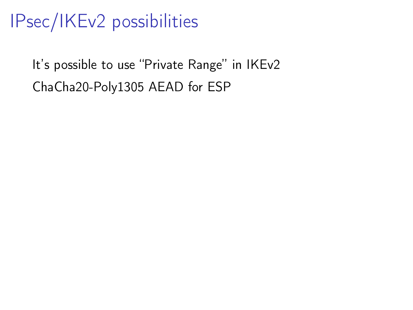# IPsec/IKEv2 possibilities

It's possible to use "Private Range" in IKEv2 ChaCha20-Poly1305 AEAD for ESP